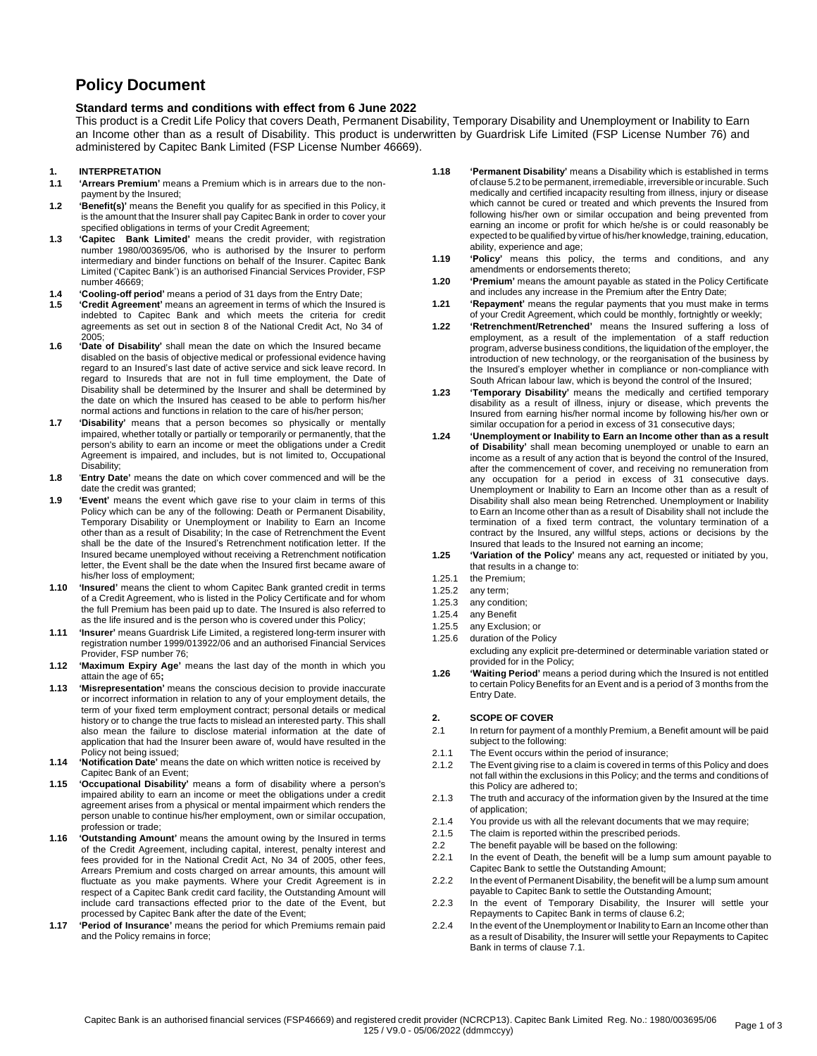# **Policy Document**

# **Standard terms and conditions with effect from 6 June 2022**

This product is a Credit Life Policy that covers Death, Permanent Disability, Temporary Disability and Unemployment or Inability to Earn an Income other than as a result of Disability. This product is underwritten by Guardrisk Life Limited (FSP License Number 76) and administered by Capitec Bank Limited (FSP License Number 46669).

### **1. INTERPRETATION**

- **1.1 'Arrears Premium'** means a Premium which is in arrears due to the nonpayment by the Insured;
- **1.2 'Benefit(s)'** means the Benefit you qualify for as specified in this Policy, it is the amount that the Insurer shall pay Capitec Bank in order to cover your specified obligations in terms of your Credit Agreement;
- **1.3 'Capitec Bank Limited'** means the credit provider, with registration number 1980/003695/06, who is authorised by the Insurer to perform intermediary and binder functions on behalf of the Insurer. Capitec Bank Limited ('Capitec Bank') is an authorised Financial Services Provider, FSP number 46669;
- **1.4 'Cooling-off period'** means a period of 31 days from the Entry Date;
- **1.5 'Credit Agreement'** means an agreement in terms of which the Insured is indebted to Capitec Bank and which meets the criteria for credit agreements as set out in section 8 of the National Credit Act, No 34 of 2005;
- **1.6 'Date of Disability'** shall mean the date on which the Insured became disabled on the basis of objective medical or professional evidence having regard to an Insured's last date of active service and sick leave record. In regard to Insureds that are not in full time employment, the Date of Disability shall be determined by the Insurer and shall be determined by the date on which the Insured has ceased to be able to perform his/her normal actions and functions in relation to the care of his/her person;
- **1.7 'Disability'** means that a person becomes so physically or mentally impaired, whether totally or partially or temporarily or permanently, that the person's ability to earn an income or meet the obligations under a Credit Agreement is impaired, and includes, but is not limited to, Occupational Disability;
- **1.8** '**Entry Date'** means the date on which cover commenced and will be the date the credit was granted;
- **1.9 'Event'** means the event which gave rise to your claim in terms of this Policy which can be any of the following: Death or Permanent Disability, Temporary Disability or Unemployment or Inability to Earn an Income other than as a result of Disability; In the case of Retrenchment the Event shall be the date of the Insured's Retrenchment notification letter. If the Insured became unemployed without receiving a Retrenchment notification letter, the Event shall be the date when the Insured first became aware of his/her loss of employment;
- **1.10 'Insured'** means the client to whom Capitec Bank granted credit in terms of a Credit Agreement, who is listed in the Policy Certificate and for whom the full Premium has been paid up to date. The Insured is also referred to as the life insured and is the person who is covered under this Policy;
- **1.11 'Insurer'** means Guardrisk Life Limited, a registered long-term insurer with registration number 1999/013922/06 and an authorised Financial Services Provider, FSP number 76;
- **1.12 'Maximum Expiry Age'** means the last day of the month in which you attain the age of 65**;**
- **1.13 'Misrepresentation'** means the conscious decision to provide inaccurate or incorrect information in relation to any of your employment details, the term of your fixed term employment contract; personal details or medical history or to change the true facts to mislead an interested party. This shall also mean the failure to disclose material information at the date of application that had the Insurer been aware of, would have resulted in the Policy not being issued;
- **1.14 'Notification Date'** means the date on which written notice is received by Capitec Bank of an Event;
- **1.15 'Occupational Disability'** means a form of disability where a person's impaired ability to earn an income or meet the obligations under a credit agreement arises from a physical or mental impairment which renders the person unable to continue his/her employment, own or similar occupation, profession or trade;
- **1.16 'Outstanding Amount'** means the amount owing by the Insured in terms of the Credit Agreement, including capital, interest, penalty interest and fees provided for in the National Credit Act, No 34 of 2005, other fees, Arrears Premium and costs charged on arrear amounts, this amount will fluctuate as you make payments. Where your Credit Agreement is in respect of a Capitec Bank credit card facility, the Outstanding Amount will include card transactions effected prior to the date of the Event, but processed by Capitec Bank after the date of the Event;
- **1.17 'Period of Insurance'** means the period for which Premiums remain paid and the Policy remains in force;
- **1.18 'Permanent Disability'** means a Disability which is established in terms of clause 5.2 to be permanent, irremediable, irreversible orincurable. Such medically and certified incapacity resulting from illness, injury or disease which cannot be cured or treated and which prevents the Insured from following his/her own or similar occupation and being prevented from earning an income or profit for which he/she is or could reasonably be expected to be qualified by virtue of his/her knowledge, training, education, ability, experience and age;
- **1.19 'Policy'** means this policy, the terms and conditions, and any amendments or endorsements thereto;
- **1.20 'Premium'** means the amount payable as stated in the Policy Certificate and includes any increase in the Premium after the Entry Date;
- **1.21 'Repayment'** means the regular payments that you must make in terms of your Credit Agreement, which could be monthly, fortnightly or weekly;
- **1.22 'Retrenchment/Retrenched'** means the Insured suffering a loss of employment, as a result of the implementation of a staff reduction program, adverse business conditions, the liquidation of the employer, the introduction of new technology, or the reorganisation of the business by the Insured's employer whether in compliance or non-compliance with South African labour law, which is beyond the control of the Insured;
- **1.23 'Temporary Disability'** means the medically and certified temporary disability as a result of illness, injury or disease, which prevents the Insured from earning his/her normal income by following his/her own or similar occupation for a period in excess of 31 consecutive days;
- **1.24 'Unemployment or Inability to Earn an Income other than as a result of Disability'** shall mean becoming unemployed or unable to earn an income as a result of any action that is beyond the control of the Insured, after the commencement of cover, and receiving no remuneration from any occupation for a period in excess of 31 consecutive days. Unemployment or Inability to Earn an Income other than as a result of Disability shall also mean being Retrenched. Unemployment or Inability to Earn an Income other than as a result of Disability shall not include the termination of a fixed term contract, the voluntary termination of a contract by the Insured, any willful steps, actions or decisions by the Insured that leads to the Insured not earning an income;
- **1.25 'Variation of the Policy'** means any act, requested or initiated by you, that results in a change to:
- 1.25.1 the Premium;
- 1.25.2 any term;
- 1.25.3 any condition;
- 1.25.4 any Benefit
- 1.25.5 any Exclusion; or
- 1.25.6 duration of the Policy excluding any explicit pre-determined or determinable variation stated or provided for in the Policy;
- **1.26 'Waiting Period'** means a period during which the Insured is not entitled to certain Policy Benefits for an Event and is a period of 3 months from the Entry Date.

# **2. SCOPE OF COVER**

- 2.1 In return for payment of a monthly Premium, a Benefit amount will be paid subject to the following:
- 2.1.1 The Event occurs within the period of insurance;
- 2.1.2 The Event giving rise to a claim is covered in terms of this Policy and does not fall within the exclusions in this Policy; and the terms and conditions of this Policy are adhered to;
- 2.1.3 The truth and accuracy of the information given by the Insured at the time of application;
- 2.1.4 You provide us with all the relevant documents that we may require;
- 2.1.5 The claim is reported within the prescribed periods.
- 2.2 The benefit payable will be based on the following:
- 2.2.1 In the event of Death, the benefit will be a lump sum amount payable to Capitec Bank to settle the Outstanding Amount;
- 2.2.2 In the event of Permanent Disability, the benefit will be a lump sum amount payable to Capitec Bank to settle the Outstanding Amount;
- 2.2.3 In the event of Temporary Disability, the Insurer will settle your Repayments to Capitec Bank in terms of clause 6.2;
- 2.2.4 In the event of the Unemployment or Inability to Earn an Income other than as a result of Disability, the Insurer will settle your Repayments to Capitec Bank in terms of clause 7.1.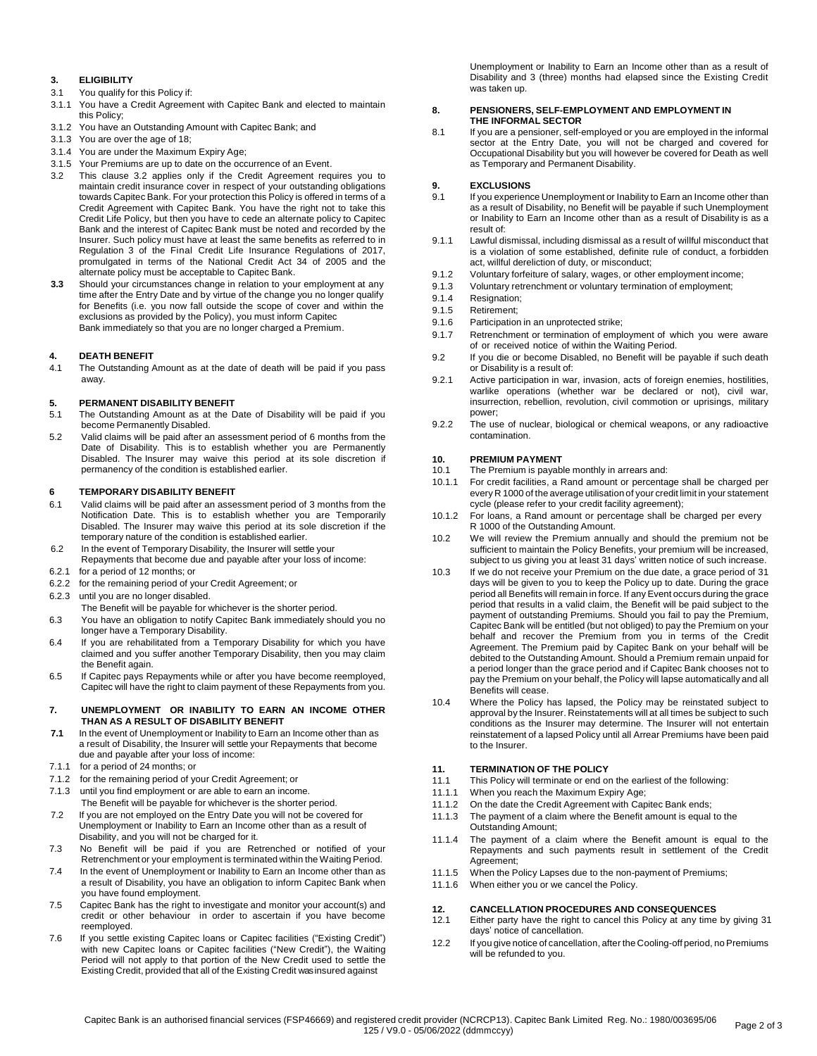# **3. ELIGIBILITY**

- 3.1 You qualify for this Policy if:
- 3.1.1 You have a Credit Agreement with Capitec Bank and elected to maintain this Policy;
- 3.1.2 You have an Outstanding Amount with Capitec Bank; and
- 3.1.3 You are over the age of 18;
- 3.1.4 You are under the Maximum Expiry Age;
- 3.1.5 Your Premiums are up to date on the occurrence of an Event.
- 3.2 This clause 3.2 applies only if the Credit Agreement requires you to maintain credit insurance cover in respect of your outstanding obligations towards Capitec Bank. For your protection this Policy is offered in terms of a Credit Agreement with Capitec Bank. You have the right not to take this Credit Life Policy, but then you have to cede an alternate policy to Capitec Bank and the interest of Capitec Bank must be noted and recorded by the Insurer. Such policy must have at least the same benefits as referred to in Regulation 3 of the Final Credit Life Insurance Regulations of 2017, promulgated in terms of the National Credit Act 34 of 2005 and the alternate policy must be acceptable to Capitec Bank.
- **3.3** Should your circumstances change in relation to your employment at any time after the Entry Date and by virtue of the change you no longer qualify for Benefits (i.e. you now fall outside the scope of cover and within the exclusions as provided by the Policy), you must inform Capitec Bank immediately so that you are no longer charged a Premium.

### **4. DEATH BENEFIT**

4.1 The Outstanding Amount as at the date of death will be paid if you pass away.

### **5. PERMANENT DISABILITY BENEFIT**

- 5.1 The Outstanding Amount as at the Date of Disability will be paid if you become Permanently Disabled.
- 5.2 Valid claims will be paid after an assessment period of 6 months from the Date of Disability. This is to establish whether you are Permanently Disabled. The Insurer may waive this period at its sole discretion if permanency of the condition is established earlier.

### **6 TEMPORARY DISABILITY BENEFIT**

- 6.1 Valid claims will be paid after an assessment period of 3 months from the Notification Date. This is to establish whether you are Temporarily Disabled. The Insurer may waive this period at its sole discretion if the temporary nature of the condition is established earlier.
- 6.2 In the event of Temporary Disability, the Insurer will settle your
- Repayments that become due and payable after your loss of income: 6.2.1 for a period of 12 months; or
- 6.2.2 for the remaining period of your Credit Agreement; or
- 6.2.3 until you are no longer disabled.
- The Benefit will be payable for whichever is the shorter period.
- 6.3 You have an obligation to notify Capitec Bank immediately should you no longer have a Temporary Disability.
- 6.4 If you are rehabilitated from a Temporary Disability for which you have claimed and you suffer another Temporary Disability, then you may claim the Benefit again.
- 6.5 If Capitec pays Repayments while or after you have become reemployed, Capitec will have the right to claim payment of these Repayments from you.

### **7. UNEMPLOYMENT OR INABILITY TO EARN AN INCOME OTHER THAN AS A RESULT OF DISABILITY BENEFIT**

- **7.1** In the event of Unemployment or Inability to Earn an Income other than as a result of Disability, the Insurer will settle your Repayments that become due and payable after your loss of income:
- 7.1.1 for a period of 24 months; or
- 7.1.2 for the remaining period of your Credit Agreement; or
- 7.1.3 until you find employment or are able to earn an income. The Benefit will be payable for whichever is the shorter period.
- 7.2 If you are not employed on the Entry Date you will not be covered for Unemployment or Inability to Earn an Income other than as a result of Disability, and you will not be charged for it.
- 7.3 No Benefit will be paid if you are Retrenched or notified of your Retrenchment or your employment is terminated within the Waiting Period.
- 7.4 In the event of Unemployment or Inability to Earn an Income other than as a result of Disability, you have an obligation to inform Capitec Bank when you have found employment.
- 7.5 Capitec Bank has the right to investigate and monitor your account(s) and credit or other behaviour in order to ascertain if you have become reemployed.
- 7.6 If you settle existing Capitec loans or Capitec facilities ("Existing Credit") with new Capitec loans or Capitec facilities ("New Credit"), the Waiting Period will not apply to that portion of the New Credit used to settle the Existing Credit, provided that all of the Existing Credit was insured against

Unemployment or Inability to Earn an Income other than as a result of Disability and 3 (three) months had elapsed since the Existing Credit was taken up.

#### **8. PENSIONERS, SELF-EMPLOYMENT AND EMPLOYMENT IN THE INFORMAL SECTOR**

8.1 If you are a pensioner, self-employed or you are employed in the informal sector at the Entry Date, you will not be charged and covered for Occupational Disability but you will however be covered for Death as well as Temporary and Permanent Disability.

# **9. EXCLUSIONS**<br>9.1 If you experiend

- If you experience Unemployment or Inability to Earn an Income other than as a result of Disability, no Benefit will be payable if such Unemployment or Inability to Earn an Income other than as a result of Disability is as a result of:
- 9.1.1 Lawful dismissal, including dismissal as a result of willful misconduct that is a violation of some established, definite rule of conduct, a forbidden act, willful dereliction of duty, or misconduct;
- 9.1.2 Voluntary forfeiture of salary, wages, or other employment income;
- 9.1.3 Voluntary retrenchment or voluntary termination of employment;
- 9.1.4 Resignation;
- 9.1.5 Retirement;
- 9.1.6 Participation in an unprotected strike;
- 9.1.7 Retrenchment or termination of employment of which you were aware of or received notice of within the Waiting Period.
- 9.2 If you die or become Disabled, no Benefit will be payable if such death or Disability is a result of:
- 9.2.1 Active participation in war, invasion, acts of foreign enemies, hostilities, warlike operations (whether war be declared or not), civil war, insurrection, rebellion, revolution, civil commotion or uprisings, military power;
- 9.2.2 The use of nuclear, biological or chemical weapons, or any radioactive contamination.

### **10. PREMIUM PAYMENT**

- 10.1 The Premium is payable monthly in arrears and:
- 10.1.1 For credit facilities, a Rand amount or percentage shall be charged per every R 1000 of the average utilisation of your credit limit in your statement cycle (please refer to your credit facility agreement);
- 10.1.2 For loans, a Rand amount or percentage shall be charged per every R 1000 of the Outstanding Amount.
- 10.2 We will review the Premium annually and should the premium not be sufficient to maintain the Policy Benefits, your premium will be increased, subject to us giving you at least 31 days' written notice of such increase.
- 10.3 If we do not receive your Premium on the due date, a grace period of 31 days will be given to you to keep the Policy up to date. During the grace period all Benefits will remain in force. If any Event occurs during the grace period that results in a valid claim, the Benefit will be paid subject to the payment of outstanding Premiums. Should you fail to pay the Premium, Capitec Bank will be entitled (but not obliged) to pay the Premium on your behalf and recover the Premium from you in terms of the Credit Agreement. The Premium paid by Capitec Bank on your behalf will be debited to the Outstanding Amount. Should a Premium remain unpaid for a period longer than the grace period and if Capitec Bank chooses not to pay the Premium on your behalf, the Policy will lapse automatically and all Benefits will cease.
- 10.4 Where the Policy has lapsed, the Policy may be reinstated subject to approval by the Insurer. Reinstatements will at all times be subject to such conditions as the Insurer may determine. The Insurer will not entertain reinstatement of a lapsed Policy until all Arrear Premiums have been paid to the Insurer.

# **11. TERMINATION OF THE POLICY**

- 11.1 This Policy will terminate or end on the earliest of the following:
- 11.1.1 When you reach the Maximum Expiry Age;
- 11.1.2 On the date the Credit Agreement with Capitec Bank ends;
- 11.1.3 The payment of a claim where the Benefit amount is equal to the Outstanding Amount;
- 11.1.4 The payment of a claim where the Benefit amount is equal to the Repayments and such payments result in settlement of the Credit Agreement;
- 11.1.5 When the Policy Lapses due to the non-payment of Premiums;
- 11.1.6 When either you or we cancel the Policy.

#### **12. CANCELLATION PROCEDURES AND CONSEQUENCES**

- 12.1 Either party have the right to cancel this Policy at any time by giving 31 days' notice of cancellation.
- 12.2 If you give notice of cancellation, after the Cooling-off period, no Premiums will be refunded to you.